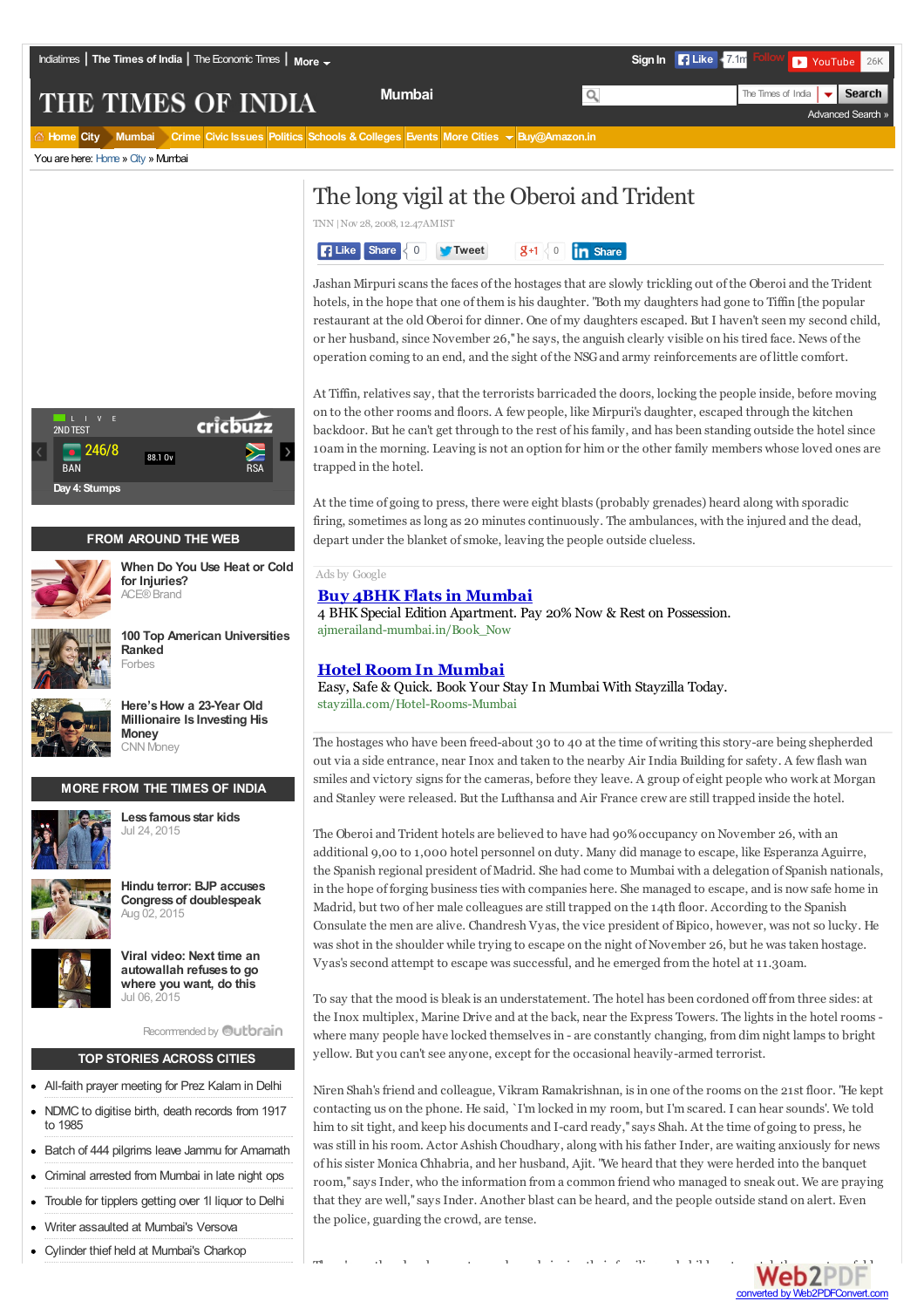**Mumbai** The Times of India

Advanced Search »

 $\overline{\phantom{0}}$ 

**Search** 

# THE TIMES OF INDIA

**Home City Mumbai Crime Civic Issues Politics Schools &Colleges Events More Cities Buy@Amazon.in**

You are here: Home » City » Mumbai



## **FROM AROUND THE WEB**



**When Do You Use Heat or Cold for Injuries?** ACE®Brand



**100 Top American Universities Ranked** Forbes



**Here'sHow a 23-Year Old Millionaire Is Investing His Money** CNN Money

## **MORE FROM THE TIMES OF INDIA**



**Less famous star kids** Jul 24, <sup>2015</sup>





**Viral video: Next time an autowallah refuses to go where you want, do this** Jul 06, <sup>2015</sup>

Recommended by **Qutbrain** 

### **TOP STORIES ACROSS CITIES**

- All-faith prayer meeting for Prez Kalam in Delhi
- NDMC to digitise birth, death records from 1917 to 1985
- Batch of 444 pilgrims leave Jammu for Amarnath
- Criminal arrested from Mumbai in late night ops
- Trouble for tipplers getting over 1l liquor to Delhi
- Writer assaulted at Mumbai's Versova
- Cylinder thief held at Mumbai's Charkop

# The long vigil at the Oberoi and Trident

TNN |Nov 28, 2008,12.47AMIST



Jashan Mirpuriscansthe faces ofthe hostagesthat are slowly trickling out ofthe Oberoi and the Trident hotels, in the hope that one ofthem is his daughter. "Both my daughters had gone to Tiffin [the popular restaurant at the old Oberoi for dinner. One ofmy daughters escaped. But I haven't seen my second child, or her husband, since November 26,''he says, the anguish clearly visible on histired face. News ofthe operation coming to an end, and the sight ofthe NSGand army reinforcements are of little comfort.

At Tiffin, relatives say, that the terrorists barricaded the doors, locking the people inside, before moving on to the other rooms and floors. A few people, like Mirpuri's daughter, escaped through the kitchen backdoor. But he can't get through to the rest of his family, and has been standing outside the hotel since 10am in the morning. Leaving is not an option for him or the other family members whose loved ones are trapped in the hotel.

At the time of going to press, there were eight blasts(probably grenades) heard along with sporadic firing, sometimes as long as 20 minutes continuously. The ambulances, with the injured and the dead, depart under the blanket of smoke, leaving the people outside clueless.

#### Ads by Google

#### **Buy 4BHK Flats in Mumbai**

4 BHK Special Edition Apartment. Pay 20% Now & Rest on Possession. ajmerailand-mumbai.in/Book\_Now

### **Hotel Room In Mumbai**

Easy, Safe & Quick. Book Your Stay In Mumbai With Stayzilla Today. stayzilla.com/Hotel-Rooms-Mumbai

The hostages who have been freed-about 30 to 40 at the time of writing this story-are being shepherded out via a side entrance, near Inox and taken to the nearby Air India Building for safety. A few flash wan smiles and victory signsfor the cameras, before they leave. A group of eight people who work at Morgan and Stanley were released. But the Lufthansa and Air France crew are still trapped inside the hotel.

The Oberoi and Trident hotels are believed to have had 90% occupancy on November 26, with an additional 9,00 to 1,000 hotel personnel on duty. Many did manage to escape, like Esperanza Aguirre, the Spanish regional president of Madrid. She had come to Mumbai with a delegation of Spanish nationals, in the hope of forging businessties with companies here. She managed to escape, and is now safe home in Madrid, but two of her male colleagues are still trapped on the 14th floor. According to the Spanish Consulate the men are alive. Chandresh Vyas, the vice president of Bipico, however, was not so lucky. He was shot in the shoulder while trying to escape on the night of November 26, but he was taken hostage. Vyas's second attempt to escape was successful, and he emerged from the hotel at 11.30am.

To say that the mood is bleak is an understatement. The hotel has been cordoned off from three sides: at the Inox multiplex, Marine Drive and at the back, near the Express Towers. The lights in the hotel rooms where many people have locked themselvesin - are constantly changing, from dim night lampsto bright yellow. But you can't see anyone, except for the occasional heavily-armed terrorist.

Niren Shah'sfriend and colleague, Vikram Ramakrishnan, isin one ofthe rooms on the 21st floor. "He kept contacting us on the phone. He said, `I'm locked in my room, but I'm scared. I can hear sounds'. We told him to sit tight, and keep his documents and I-card ready,''says Shah. At the time of going to press, he wasstill in hisroom. Actor Ashish Choudhary, along with hisfather Inder, are waiting anxiously for news of hissister Monica Chhabria, and her husband, Ajit. "We heard that they were herded into the banquet room,''saysInder, who the information from a common friend who managed to sneak out. We are praying that they are well," says Inder. Another blast can be heard, and the people outside stand on alert. Even the police, guarding the crowd, are tense.